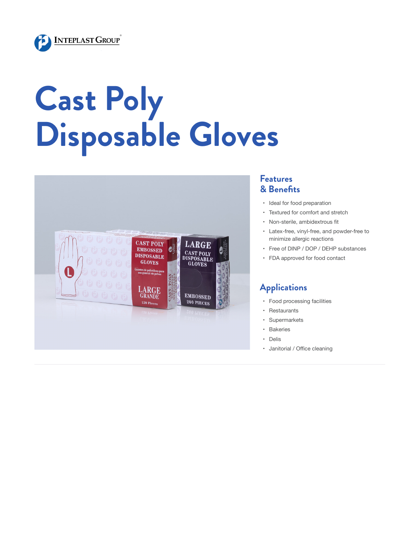

# **Cast Poly Disposable Gloves**



#### **Features & Benefits**

- • Ideal for food preparation
- • Textured for comfort and stretch
- • Non-sterile, ambidextrous fit
- • Latex-free, vinyl-free, and powder-free to minimize allergic reactions
- • Free of DINP / DOP / DEHP substances
- • FDA approved for food contact

### **Applications**

- • Food processing facilities
- • Restaurants
- • Supermarkets
- • Bakeries
- • Delis
- • Janitorial / Office cleaning